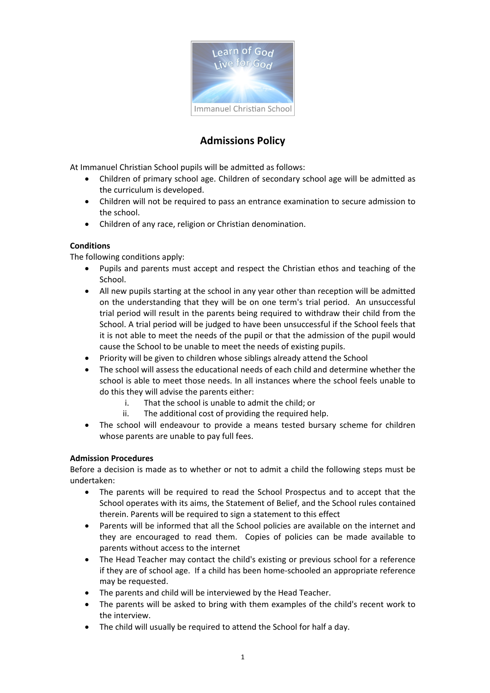

# **Admissions Policy**

At Immanuel Christian School pupils will be admitted as follows:

- Children of primary school age. Children of secondary school age will be admitted as the curriculum is developed.
- Children will not be required to pass an entrance examination to secure admission to the school.
- Children of any race, religion or Christian denomination.

# **Conditions**

The following conditions apply:

- Pupils and parents must accept and respect the Christian ethos and teaching of the School.
- All new pupils starting at the school in any year other than reception will be admitted on the understanding that they will be on one term's trial period. An unsuccessful trial period will result in the parents being required to withdraw their child from the School. A trial period will be judged to have been unsuccessful if the School feels that it is not able to meet the needs of the pupil or that the admission of the pupil would cause the School to be unable to meet the needs of existing pupils.
- Priority will be given to children whose siblings already attend the School
- The school will assess the educational needs of each child and determine whether the school is able to meet those needs. In all instances where the school feels unable to do this they will advise the parents either:
	- i. That the school is unable to admit the child; or
	- ii. The additional cost of providing the required help.
- The school will endeavour to provide a means tested bursary scheme for children whose parents are unable to pay full fees.

# **Admission Procedures**

Before a decision is made as to whether or not to admit a child the following steps must be undertaken:

- The parents will be required to read the School Prospectus and to accept that the School operates with its aims, the Statement of Belief, and the School rules contained therein. Parents will be required to sign a statement to this effect
- Parents will be informed that all the School policies are available on the internet and they are encouraged to read them. Copies of policies can be made available to parents without access to the internet
- The Head Teacher may contact the child's existing or previous school for a reference if they are of school age. If a child has been home-schooled an appropriate reference may be requested.
- The parents and child will be interviewed by the Head Teacher.
- The parents will be asked to bring with them examples of the child's recent work to the interview.
- The child will usually be required to attend the School for half a day.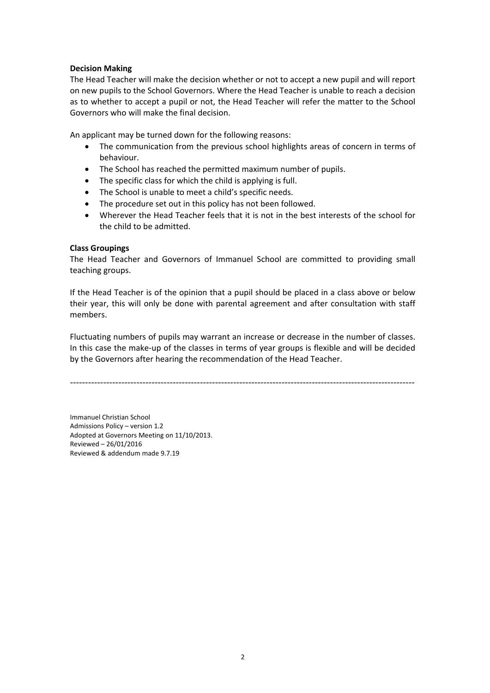## **Decision Making**

The Head Teacher will make the decision whether or not to accept a new pupil and will report on new pupils to the School Governors. Where the Head Teacher is unable to reach a decision as to whether to accept a pupil or not, the Head Teacher will refer the matter to the School Governors who will make the final decision.

An applicant may be turned down for the following reasons:

- The communication from the previous school highlights areas of concern in terms of behaviour.
- The School has reached the permitted maximum number of pupils.
- The specific class for which the child is applying is full.
- The School is unable to meet a child's specific needs.
- The procedure set out in this policy has not been followed.
- Wherever the Head Teacher feels that it is not in the best interests of the school for the child to be admitted.

## **Class Groupings**

The Head Teacher and Governors of Immanuel School are committed to providing small teaching groups.

If the Head Teacher is of the opinion that a pupil should be placed in a class above or below their year, this will only be done with parental agreement and after consultation with staff members.

Fluctuating numbers of pupils may warrant an increase or decrease in the number of classes. In this case the make-up of the classes in terms of year groups is flexible and will be decided by the Governors after hearing the recommendation of the Head Teacher.

------------------------------------------------------------------------------------------------------------------

Immanuel Christian School Admissions Policy – version 1.2 Adopted at Governors Meeting on 11/10/2013. Reviewed – 26/01/2016 Reviewed & addendum made 9.7.19